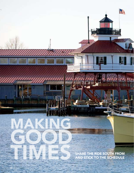TIMES SHARE THE RIDE SOUTH FROM SHARE THE RIDE SOUTH FROM AND STICK TO THE SCHEDULE AND STICK TO THE SCHEDULE

**THE REAL** 

F

IJ

۰

TİMM

MAKING

GOOD

4AY 2009 <mark>/ YACHTI</mark>NG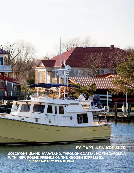## BY CAPT. KEN KREISLER

SOLOMONS ISLAND, MARYLAND, THROUGH COASTAL NORTH CAROLINA WITH NEW-FOUND FRIENDS ON THE KROGEN EXPRESS 52. PHOTOGRAPHY BY JOHN BILDHAL

冨

ĩë

 $\overline{a}$ 

**CT** 

**TAR**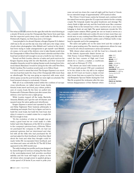

a steady 20 knots across the Chesapeake Bay, I knew from past trips, that the expected quick, steep chop could make the 98-mile run to Portsmouth, Virginia, our first stop, seem a bit longer.

 I was just glad to be aboard *Daystar*, a Krogen Express 52. A distinct chill was in the air and the sky was clear with just a few wispy cirrus clouds when photographer John Bildahl and I arrived at the dock. I had been trying to make arrangements to get myself—and Bildahl, of course—to be part of the delivery crew to take *Daystar* south from the Chesapeake to Hilton Head. But my travel calendar and that of the boat had not jibed well enough to secure a berth for me. Until now.

Turned out Bob Louden, director of sales and yacht services for Krogen Express along with his wife Machelle, and their 12-year-old daughter Amanda, would be taking *Daystar* south, leaving from Solomons Island, Maryland. I would be along for the ride until New Bern, North Carolina. The Loudens would push on to Hilton Head.

I didn't need to sweat that wind. The Krogen Express is an excellent sea boat that made the chop of the Chesapeake little more than an afterthought. The trip was going as expected, with some winddriven spray across the port bow. But we were right on schedule: The boat hummed along at a rock-steady 14 knots.

With all of us comfortably seated within the confines of our spacious wheelhouse, we talked about boats, family,

friends, boats, travel and food, pop culture, politics, and, of course, boats. By the time we pulled into Portsmouth's Tidewater Marina just after sunset, this delivery crew had become a tight group.

While Louden topped off the tanks, Machelle, Amanda, Bildahl, and I got the salt off *Daystar*, and squared away the salon, galley, and wheelhouse.

Krogen Express is owned and operated by John and Betsy Tegtmeyer. Their business philosophy is refreshing and simple: Don't try to figure out how to build the most boats, but build the best boat. And when it comes to a coastal cruiser for a couple, the KE 52 is tough to beat.

"It's the evolution of what we thought was already a good boat but we could make it a little better," said John Tegtmeyer, of the KE 52 in relation to the company's previous boat, a 49-footer. "When we purchased the company in 2001, we had our personal opinions. And we interviewed and chatted with all the folks who had purchased the 49 and just asked for their feedback of what they liked about the boat and what they thought could be made better. We incorporated their feedback and our ideas and came out with the 52." The KE 52 first appeared in the 2003 model year.

The salty-looking, low-profile yacht was designed by James Krogen for serious cruising. The flat chine of the semi-displacement hull provides excellent stability and the boat will begin to plane on the aft chines when enough power is applied, giving a cruise speed of 20 knots. If you want to poke your

nose out and run down the coast all night, pull her back to 9 knots for an extended range of approximately 1,870 nautical miles.

The 15-foot, 11-inch beam carries far forward, and, combined with the raised bow section, gives the 52 a spacious interior for the cruising couple. The forepeak master has great headroom and stowage. The cherry finish is light and airy and the boat feels more like a summer cottage. Ports in the forward face of the coachroof are a nice touch, bringing in fresh air and light. The guest stateroom reveals the 52's couple-cruiser mission. When guests are not on board, it serves as a den, complete with desk and a settee. It's nice to have more than one social area on any cruising boat. When there is a large party, like with our gang, there is a convertible L-settee, and a Pullman berth. A dayhead is opposite and in the passageway.

The salon and galley are on the same level and the cockpit affords a great seating area. The stand-up engineroom allows for easy access for all critical maintenance areas and systems.

With dinner plans ashore, we left the boat for a leisurely stroll

to the historic square-mile district known as Olde Towne. Colonel William Crawford dedicated the four corners of High and Court streets for a church, a market, a courthouse, and a jail on February 27, 1752.

The streets are lined with homes such as 320 Court, built around 1790 and considered to be the oldest in the city still in its original state. At 315 Court, we found a classic revivalstyle house that was occupied by Union General Benjamin "Spoons" Butler during the Civil War. He acquired the nickname after the mysterious disappearance of fine flatware whenLOA: 57'6" LOD: 52'6" BEAM: 15'11" DRAFT: 4'0" DISPL.: 43,000 lb. FUEL: 700 gal. WATER: 370 gal. DEADRISE: 15 degrees ENGINES: 2 x 480-hp Yanmar 6LY3-ETP diesels

BASE PRICE: \$1,400,000 PRICE AS TESTED: \$1,495,000

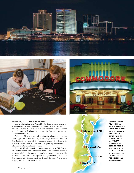





ever he "inspected" some of the local homes.

And at Washington and North Streets, there is a monument to Commandant Richard Dale who, after being captured no less than five times during the Revolutionary War, managed to escape every time. He was also first lieutenant under John Paul Jones aboard the *Bonhomme Richard.*

We had our fill of history, now it was time to satisfy other appetites: We dropped into Roger Brown's place on High Street right opposite the dazzlingly neon-lit, art deco-designed Commodore Theater. As the tasty chicken-wing and rib-bone piles grew higher, we lifted our glasses many times in friendly toasts.

We strolled back through the now-empty streets of Olde Towne and to the marina and *Daystar*. The ladies were given the forepeak master while I had the roomy starboard stateroom. Louden was able to stretch his six-foot, two-inch-plus frame quite comfortably across the elevated wheelhouse watch berth abaft the helm. And Bildahl happily took the cushy salon settee.



THE VIEW OF NOR-FOLK, VIRGINIA, FROM PORTSMOUTH LIGHTS UP THE NIGHT SKY (TOP). AMANDA AND MACHELLE SET TO WORK ON A JIGSAW PUZZLE (ABOVE LEFT). PORTSMOUTH'S COMMODORE THE-ATRE IS A BEACON TO NOSTALGIA BUFFS (ABOVE). EACH LEG OF *DAYSTAR*'S VOY-AGE ENDED IN AN INTERESTING PORT.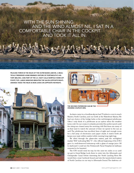## WITH THE SUN SHINING AND THE WIND ALMOST NIL, I SAT IN A COMFORTABLE CHAIR IN THE COCKPIT **AND TOOK IT ALL IN.**

PELICANS THRIVE IN THE WILDS OF THE OUTER BANKS (ABOVE). A BEAU-TIFULLY PRESERVED HOME REMINDS VISITORS OF PORTSMOUTH'S HIS-TORY (BELOW). A BIG PART OF THE U.S. NAVY CALLS NORFOLK HOME (OP-POSITE TOP). LARGE WINDOWS BRIGHTEN THE SALON (OPPOSITE RIGHT). AMANDA TAKES THE HELM AS BOB LOOKS ON (OPPOSITE FAR RIGHT).





THE SECOND STATEROOM CAN BE THE CRUISING COUPLE'S DEN.

As dawn came in a cloudless sky, we had 79 miles to cover to reach Manteo, North Carolina, and our berth at the Waterfront Marina. We had our choice of the bridge helm or the well-designed pilothouse. Often I only think of a pilothouse as an option when the weather turns cold. On our cruise, it certainly provided the perfect perch until the rising sun chased away the morning chill. But there are many of us that want to watch the amount of time we spend in the sun as well. The pilothouse has excellent lines of sight and enough room for a full array of electronics and paper charts. A watch berth aft keeps your mate within earshot while running long night legs.

We idled through the glass-calm waters, past the red-lighted marker "R36" indicating Mile "0"—the official beginning of the ICW. I gave it a well-deserved bottoms-up with a glass of orange juice. Off to starboard I could see the Portsmouth Naval Hospital, its hallways rumored to be haunted.

The ICW would wind its way for the next ten miles or so until we got to Great Bridge Lock, there to enter into the Albemarle and Chesapeake Canal before traversing the North Landing River. We would then cross Currituck Sound and into the tannin-tinted waters of North Carolina on our way to Albemarle Sound. The dark-tea col-